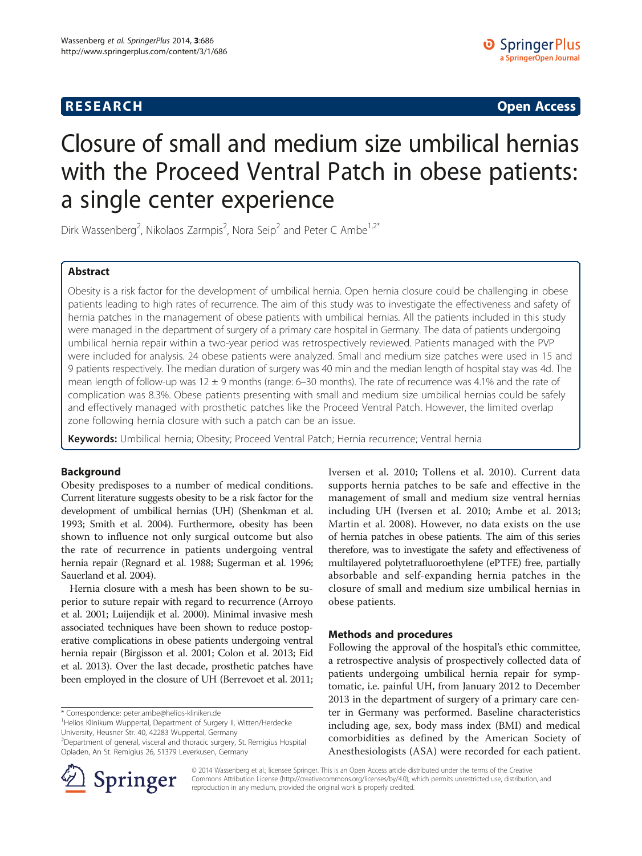## **RESEARCH RESEARCH** *CHECK CHECK CHECK CHECK CHECK CHECK CHECK CHECK CHECK CHECK CHECK CHECK CHECK CHECK CHECK CHECK CHECK CHECK CHECK CHECK CHECK CHECK CHECK CHECK CHECK CHECK CHECK CHECK CHECK CHECK CHECK CHECK CHECK*

# Closure of small and medium size umbilical hernias with the Proceed Ventral Patch in obese patients: a single center experience

Dirk Wassenberg<sup>2</sup>, Nikolaos Zarmpis<sup>2</sup>, Nora Seip<sup>2</sup> and Peter C Ambe<sup>1,2\*</sup>

## Abstract

Obesity is a risk factor for the development of umbilical hernia. Open hernia closure could be challenging in obese patients leading to high rates of recurrence. The aim of this study was to investigate the effectiveness and safety of hernia patches in the management of obese patients with umbilical hernias. All the patients included in this study were managed in the department of surgery of a primary care hospital in Germany. The data of patients undergoing umbilical hernia repair within a two-year period was retrospectively reviewed. Patients managed with the PVP were included for analysis. 24 obese patients were analyzed. Small and medium size patches were used in 15 and 9 patients respectively. The median duration of surgery was 40 min and the median length of hospital stay was 4d. The mean length of follow-up was 12  $\pm$  9 months (range: 6–30 months). The rate of recurrence was 4.1% and the rate of complication was 8.3%. Obese patients presenting with small and medium size umbilical hernias could be safely and effectively managed with prosthetic patches like the Proceed Ventral Patch. However, the limited overlap zone following hernia closure with such a patch can be an issue.

Keywords: Umbilical hernia; Obesity; Proceed Ventral Patch; Hernia recurrence; Ventral hernia

## Background

Obesity predisposes to a number of medical conditions. Current literature suggests obesity to be a risk factor for the development of umbilical hernias (UH) (Shenkman et al. [1993;](#page-4-0) Smith et al. [2004\)](#page-4-0). Furthermore, obesity has been shown to influence not only surgical outcome but also the rate of recurrence in patients undergoing ventral hernia repair (Regnard et al. [1988;](#page-4-0) Sugerman et al. [1996](#page-4-0); Sauerland et al. [2004\)](#page-4-0).

Hernia closure with a mesh has been shown to be superior to suture repair with regard to recurrence (Arroyo et al. [2001;](#page-4-0) Luijendijk et al. [2000\)](#page-4-0). Minimal invasive mesh associated techniques have been shown to reduce postoperative complications in obese patients undergoing ventral hernia repair (Birgisson et al. [2001;](#page-4-0) Colon et al. [2013;](#page-4-0) Eid et al. [2013\)](#page-4-0). Over the last decade, prosthetic patches have been employed in the closure of UH (Berrevoet et al. [2011](#page-4-0);

\* Correspondence: [peter.ambe@helios-kliniken.de](mailto:peter.ambe@helios-kliniken.de) <sup>1</sup>

Iversen et al. [2010](#page-4-0); Tollens et al. [2010\)](#page-4-0). Current data supports hernia patches to be safe and effective in the management of small and medium size ventral hernias including UH (Iversen et al. [2010;](#page-4-0) Ambe et al. [2013](#page-4-0); Martin et al. [2008](#page-4-0)). However, no data exists on the use of hernia patches in obese patients. The aim of this series therefore, was to investigate the safety and effectiveness of multilayered polytetrafluoroethylene (ePTFE) free, partially absorbable and self-expanding hernia patches in the closure of small and medium size umbilical hernias in obese patients.

#### Methods and procedures

Following the approval of the hospital's ethic committee, a retrospective analysis of prospectively collected data of patients undergoing umbilical hernia repair for symptomatic, i.e. painful UH, from January 2012 to December 2013 in the department of surgery of a primary care center in Germany was performed. Baseline characteristics including age, sex, body mass index (BMI) and medical comorbidities as defined by the American Society of Anesthesiologists (ASA) were recorded for each patient.



© 2014 Wassenberg et al.; licensee Springer. This is an Open Access article distributed under the terms of the Creative Commons Attribution License (<http://creativecommons.org/licenses/by/4.0>), which permits unrestricted use, distribution, and reproduction in any medium, provided the original work is properly credited.

<sup>&</sup>lt;sup>1</sup>Helios Klinikum Wuppertal, Department of Surgery II, Witten/Herdecke University, Heusner Str. 40, 42283 Wuppertal, Germany

<sup>2</sup> Department of general, visceral and thoracic surgery, St. Remigius Hospital Opladen, An St. Remigius 26, 51379 Leverkusen, Germany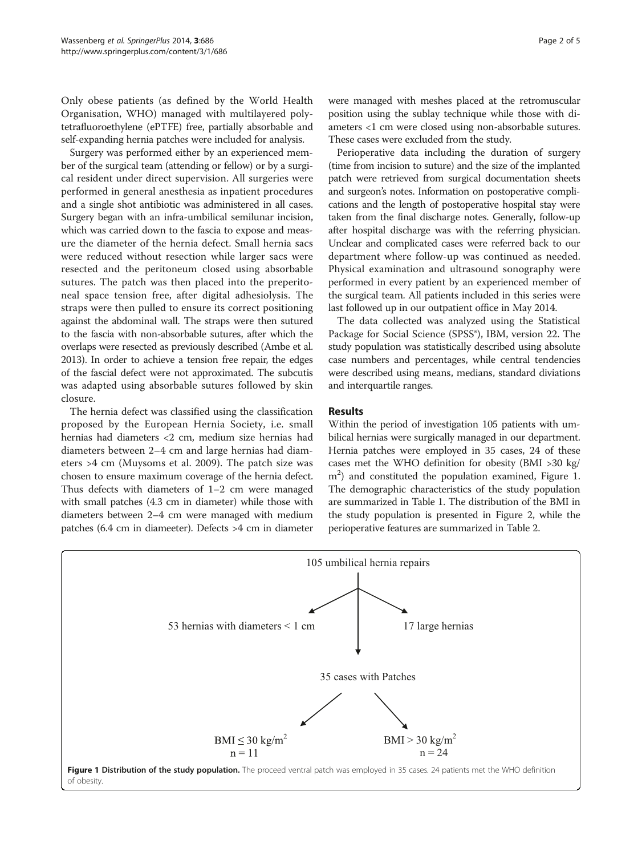Only obese patients (as defined by the World Health Organisation, WHO) managed with multilayered polytetrafluoroethylene (ePTFE) free, partially absorbable and self-expanding hernia patches were included for analysis.

Surgery was performed either by an experienced member of the surgical team (attending or fellow) or by a surgical resident under direct supervision. All surgeries were performed in general anesthesia as inpatient procedures and a single shot antibiotic was administered in all cases. Surgery began with an infra-umbilical semilunar incision, which was carried down to the fascia to expose and measure the diameter of the hernia defect. Small hernia sacs were reduced without resection while larger sacs were resected and the peritoneum closed using absorbable sutures. The patch was then placed into the preperitoneal space tension free, after digital adhesiolysis. The straps were then pulled to ensure its correct positioning against the abdominal wall. The straps were then sutured to the fascia with non-absorbable sutures, after which the overlaps were resected as previously described (Ambe et al. [2013\)](#page-4-0). In order to achieve a tension free repair, the edges of the fascial defect were not approximated. The subcutis was adapted using absorbable sutures followed by skin closure.

The hernia defect was classified using the classification proposed by the European Hernia Society, i.e. small hernias had diameters <2 cm, medium size hernias had diameters between 2–4 cm and large hernias had diameters >4 cm (Muysoms et al. [2009](#page-4-0)). The patch size was chosen to ensure maximum coverage of the hernia defect. Thus defects with diameters of 1–2 cm were managed with small patches (4.3 cm in diameter) while those with diameters between 2–4 cm were managed with medium patches (6.4 cm in diameeter). Defects >4 cm in diameter were managed with meshes placed at the retromuscular position using the sublay technique while those with diameters <1 cm were closed using non-absorbable sutures. These cases were excluded from the study.

Perioperative data including the duration of surgery (time from incision to suture) and the size of the implanted patch were retrieved from surgical documentation sheets and surgeon's notes. Information on postoperative complications and the length of postoperative hospital stay were taken from the final discharge notes. Generally, follow-up after hospital discharge was with the referring physician. Unclear and complicated cases were referred back to our department where follow-up was continued as needed. Physical examination and ultrasound sonography were performed in every patient by an experienced member of the surgical team. All patients included in this series were last followed up in our outpatient office in May 2014.

The data collected was analyzed using the Statistical Package for Social Science (SPSS<sup>®</sup>), IBM, version 22. The study population was statistically described using absolute case numbers and percentages, while central tendencies were described using means, medians, standard diviations and interquartile ranges.

## Results

Within the period of investigation 105 patients with umbilical hernias were surgically managed in our department. Hernia patches were employed in 35 cases, 24 of these cases met the WHO definition for obesity (BMI >30 kg/ m<sup>2</sup>) and constituted the population examined, Figure 1. The demographic characteristics of the study population are summarized in Table [1](#page-2-0). The distribution of the BMI in the study population is presented in Figure [2](#page-2-0), while the perioperative features are summarized in Table [2](#page-3-0).

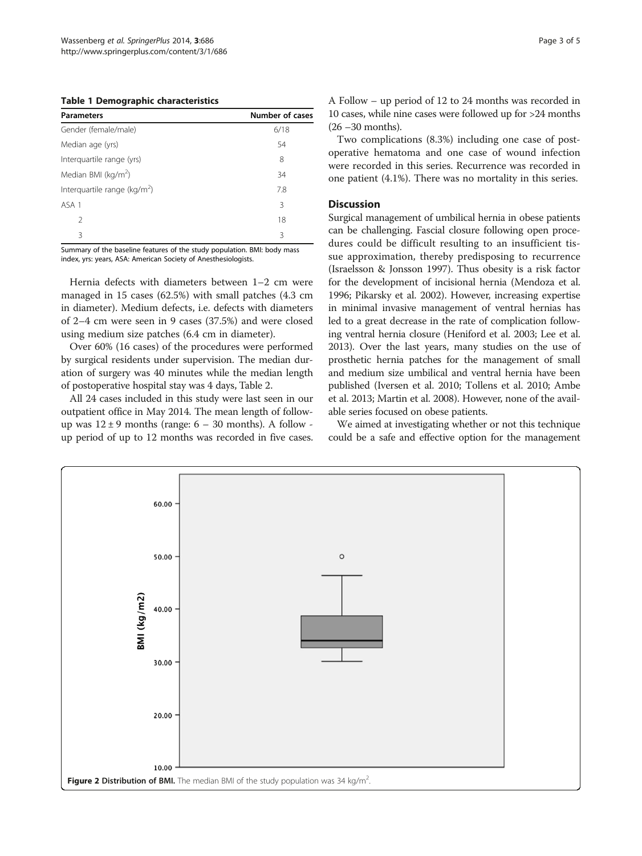#### <span id="page-2-0"></span>Table 1 Demographic characteristics

| <b>Parameters</b>               | Number of cases |
|---------------------------------|-----------------|
| Gender (female/male)            | 6/18            |
| Median age (yrs)                | 54              |
| Interquartile range (yrs)       | 8               |
| Median BMI (kg/m <sup>2</sup> ) | 34              |
| Interquartile range ( $kg/m2$ ) | 7.8             |
| ASA 1                           | 3               |
| $\mathcal{P}$                   | 18              |
| 3                               | 3               |

Summary of the baseline features of the study population. BMI: body mass index, yrs: years, ASA: American Society of Anesthesiologists.

Hernia defects with diameters between 1–2 cm were managed in 15 cases (62.5%) with small patches (4.3 cm in diameter). Medium defects, i.e. defects with diameters of 2–4 cm were seen in 9 cases (37.5%) and were closed using medium size patches (6.4 cm in diameter).

Over 60% (16 cases) of the procedures were performed by surgical residents under supervision. The median duration of surgery was 40 minutes while the median length of postoperative hospital stay was 4 days, Table [2.](#page-3-0)

All 24 cases included in this study were last seen in our outpatient office in May 2014. The mean length of followup was  $12 \pm 9$  months (range:  $6 - 30$  months). A follow up period of up to 12 months was recorded in five cases. A Follow – up period of 12 to 24 months was recorded in 10 cases, while nine cases were followed up for >24 months (26 –30 months).

Two complications (8.3%) including one case of postoperative hematoma and one case of wound infection were recorded in this series. Recurrence was recorded in one patient (4.1%). There was no mortality in this series.

## **Discussion**

Surgical management of umbilical hernia in obese patients can be challenging. Fascial closure following open procedures could be difficult resulting to an insufficient tissue approximation, thereby predisposing to recurrence (Israelsson & Jonsson [1997](#page-4-0)). Thus obesity is a risk factor for the development of incisional hernia (Mendoza et al. [1996](#page-4-0); Pikarsky et al. [2002](#page-4-0)). However, increasing expertise in minimal invasive management of ventral hernias has led to a great decrease in the rate of complication following ventral hernia closure (Heniford et al. [2003](#page-4-0); Lee et al. [2013](#page-4-0)). Over the last years, many studies on the use of prosthetic hernia patches for the management of small and medium size umbilical and ventral hernia have been published (Iversen et al. [2010;](#page-4-0) Tollens et al. [2010](#page-4-0); Ambe et al. [2013](#page-4-0); Martin et al. [2008](#page-4-0)). However, none of the available series focused on obese patients.

We aimed at investigating whether or not this technique could be a safe and effective option for the management

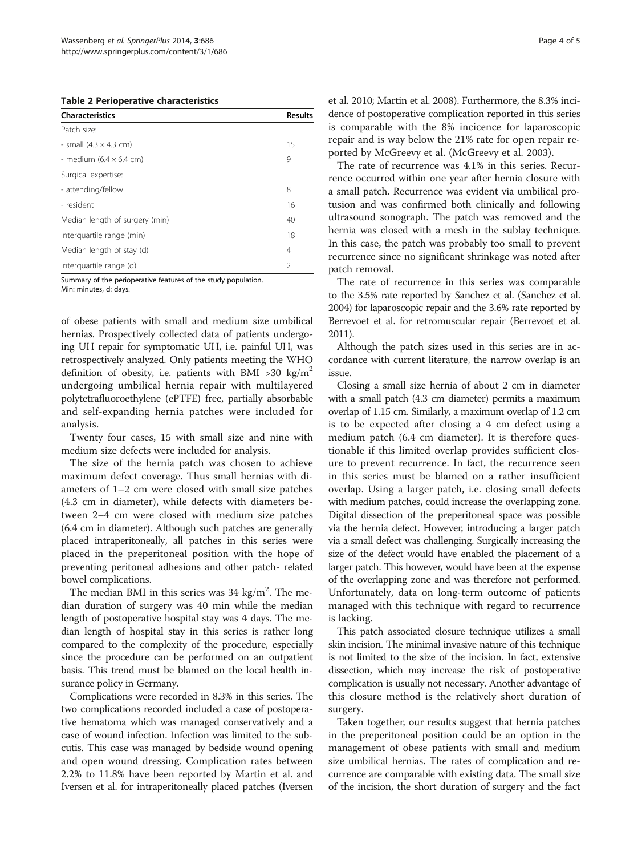<span id="page-3-0"></span>Table 2 Perioperative characteristics

| <b>Characteristics</b>                 | <b>Results</b> |
|----------------------------------------|----------------|
| Patch size:                            |                |
| - small $(4.3 \times 4.3 \text{ cm})$  | 15             |
| - medium $(6.4 \times 6.4 \text{ cm})$ | 9              |
| Surgical expertise:                    |                |
| - attending/fellow                     | 8              |
| - resident                             | 16             |
| Median length of surgery (min)         | 40             |
| Interquartile range (min)              | 18             |
| Median length of stay (d)              | 4              |
| Interguartile range (d)                | 2              |

Summary of the perioperative features of the study population.

Min: minutes, d: days.

of obese patients with small and medium size umbilical hernias. Prospectively collected data of patients undergoing UH repair for symptomatic UH, i.e. painful UH, was retrospectively analyzed. Only patients meeting the WHO definition of obesity, i.e. patients with BMI  $>30 \text{ kg/m}^2$ undergoing umbilical hernia repair with multilayered polytetrafluoroethylene (ePTFE) free, partially absorbable and self-expanding hernia patches were included for analysis.

Twenty four cases, 15 with small size and nine with medium size defects were included for analysis.

The size of the hernia patch was chosen to achieve maximum defect coverage. Thus small hernias with diameters of 1–2 cm were closed with small size patches (4.3 cm in diameter), while defects with diameters between 2–4 cm were closed with medium size patches (6.4 cm in diameter). Although such patches are generally placed intraperitoneally, all patches in this series were placed in the preperitoneal position with the hope of preventing peritoneal adhesions and other patch- related bowel complications.

The median BMI in this series was  $34 \text{ kg/m}^2$ . The median duration of surgery was 40 min while the median length of postoperative hospital stay was 4 days. The median length of hospital stay in this series is rather long compared to the complexity of the procedure, especially since the procedure can be performed on an outpatient basis. This trend must be blamed on the local health insurance policy in Germany.

Complications were recorded in 8.3% in this series. The two complications recorded included a case of postoperative hematoma which was managed conservatively and a case of wound infection. Infection was limited to the subcutis. This case was managed by bedside wound opening and open wound dressing. Complication rates between 2.2% to 11.8% have been reported by Martin et al. and Iversen et al. for intraperitoneally placed patches (Iversen

et al. [2010](#page-4-0); Martin et al. [2008](#page-4-0)). Furthermore, the 8.3% incidence of postoperative complication reported in this series is comparable with the 8% incicence for laparoscopic repair and is way below the 21% rate for open repair reported by McGreevy et al. (McGreevy et al. [2003\)](#page-4-0).

The rate of recurrence was 4.1% in this series. Recurrence occurred within one year after hernia closure with a small patch. Recurrence was evident via umbilical protusion and was confirmed both clinically and following ultrasound sonograph. The patch was removed and the hernia was closed with a mesh in the sublay technique. In this case, the patch was probably too small to prevent recurrence since no significant shrinkage was noted after patch removal.

The rate of recurrence in this series was comparable to the 3.5% rate reported by Sanchez et al. (Sanchez et al. [2004\)](#page-4-0) for laparoscopic repair and the 3.6% rate reported by Berrevoet et al. for retromuscular repair (Berrevoet et al. [2011\)](#page-4-0).

Although the patch sizes used in this series are in accordance with current literature, the narrow overlap is an issue.

Closing a small size hernia of about 2 cm in diameter with a small patch (4.3 cm diameter) permits a maximum overlap of 1.15 cm. Similarly, a maximum overlap of 1.2 cm is to be expected after closing a 4 cm defect using a medium patch (6.4 cm diameter). It is therefore questionable if this limited overlap provides sufficient closure to prevent recurrence. In fact, the recurrence seen in this series must be blamed on a rather insufficient overlap. Using a larger patch, i.e. closing small defects with medium patches, could increase the overlapping zone. Digital dissection of the preperitoneal space was possible via the hernia defect. However, introducing a larger patch via a small defect was challenging. Surgically increasing the size of the defect would have enabled the placement of a larger patch. This however, would have been at the expense of the overlapping zone and was therefore not performed. Unfortunately, data on long-term outcome of patients managed with this technique with regard to recurrence is lacking.

This patch associated closure technique utilizes a small skin incision. The minimal invasive nature of this technique is not limited to the size of the incision. In fact, extensive dissection, which may increase the risk of postoperative complication is usually not necessary. Another advantage of this closure method is the relatively short duration of surgery.

Taken together, our results suggest that hernia patches in the preperitoneal position could be an option in the management of obese patients with small and medium size umbilical hernias. The rates of complication and recurrence are comparable with existing data. The small size of the incision, the short duration of surgery and the fact